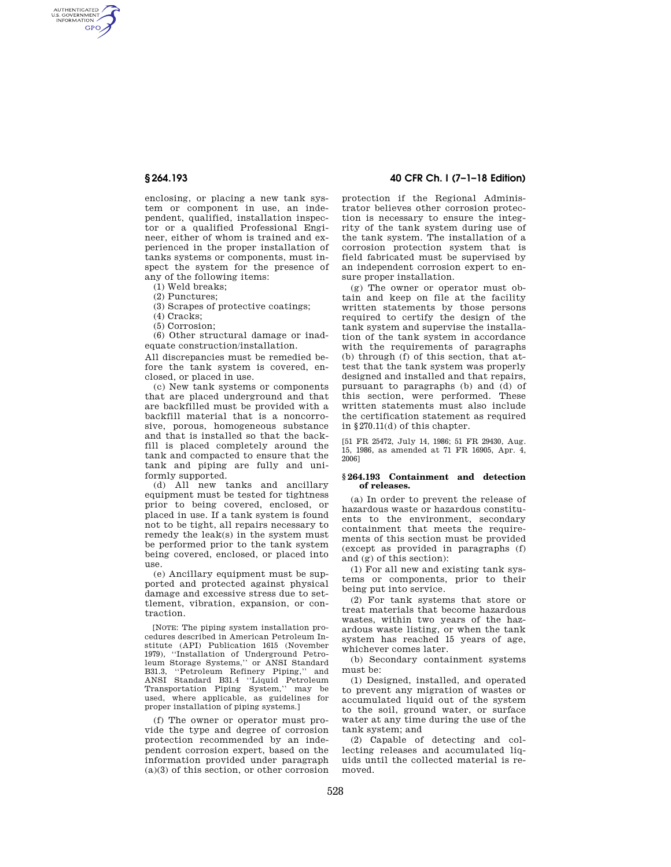AUTHENTICATED<br>U.S. GOVERNMENT<br>INFORMATION **GPO** 

> enclosing, or placing a new tank system or component in use, an independent, qualified, installation inspector or a qualified Professional Engineer, either of whom is trained and experienced in the proper installation of tanks systems or components, must inspect the system for the presence of any of the following items:

(1) Weld breaks;

(2) Punctures;

(3) Scrapes of protective coatings;

(4) Cracks;

(5) Corrosion;

(6) Other structural damage or inadequate construction/installation.

All discrepancies must be remedied before the tank system is covered, enclosed, or placed in use.

(c) New tank systems or components that are placed underground and that are backfilled must be provided with a backfill material that is a noncorrosive, porous, homogeneous substance and that is installed so that the backfill is placed completely around the tank and compacted to ensure that the tank and piping are fully and uniformly supported.

(d) All new tanks and ancillary equipment must be tested for tightness prior to being covered, enclosed, or placed in use. If a tank system is found not to be tight, all repairs necessary to remedy the leak(s) in the system must be performed prior to the tank system being covered, enclosed, or placed into use.

(e) Ancillary equipment must be supported and protected against physical damage and excessive stress due to settlement, vibration, expansion, or contraction.

[NOTE: The piping system installation procedures described in American Petroleum Institute (API) Publication 1615 (November 1979), ''Installation of Underground Petroleum Storage Systems,'' or ANSI Standard B31.3, ''Petroleum Refinery Piping,'' and ANSI Standard B31.4 ''Liquid Petroleum Transportation Piping System,'' may be used, where applicable, as guidelines for proper installation of piping systems.]

(f) The owner or operator must provide the type and degree of corrosion protection recommended by an independent corrosion expert, based on the information provided under paragraph (a)(3) of this section, or other corrosion

# **§ 264.193 40 CFR Ch. I (7–1–18 Edition)**

protection if the Regional Administrator believes other corrosion protection is necessary to ensure the integrity of the tank system during use of the tank system. The installation of a corrosion protection system that is field fabricated must be supervised by an independent corrosion expert to ensure proper installation.

(g) The owner or operator must obtain and keep on file at the facility written statements by those persons required to certify the design of the tank system and supervise the installation of the tank system in accordance with the requirements of paragraphs (b) through (f) of this section, that attest that the tank system was properly designed and installed and that repairs, pursuant to paragraphs (b) and (d) of this section, were performed. These written statements must also include the certification statement as required in §270.11(d) of this chapter.

[51 FR 25472, July 14, 1986; 51 FR 29430, Aug. 15, 1986, as amended at 71 FR 16905, Apr. 4, 2006]

### **§ 264.193 Containment and detection of releases.**

(a) In order to prevent the release of hazardous waste or hazardous constituents to the environment, secondary containment that meets the requirements of this section must be provided (except as provided in paragraphs (f) and  $(\sigma)$  of this section).

(1) For all new and existing tank systems or components, prior to their being put into service.

(2) For tank systems that store or treat materials that become hazardous wastes, within two years of the hazardous waste listing, or when the tank system has reached 15 years of age, whichever comes later.

(b) Secondary containment systems must be:

(1) Designed, installed, and operated to prevent any migration of wastes or accumulated liquid out of the system to the soil, ground water, or surface water at any time during the use of the tank system; and

(2) Capable of detecting and collecting releases and accumulated liquids until the collected material is removed.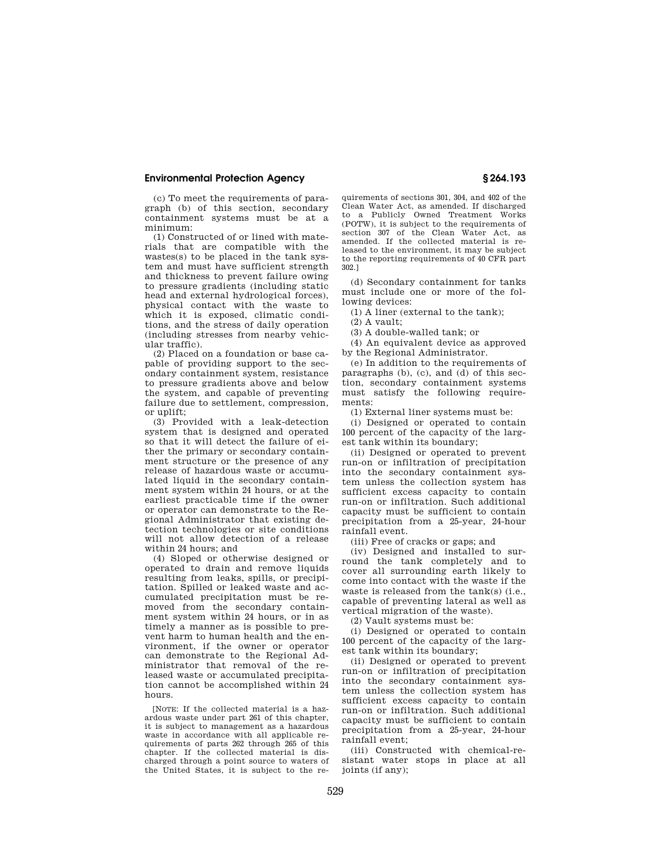## **Environmental Protection Agency § 264.193**

(c) To meet the requirements of paragraph (b) of this section, secondary containment systems must be at a minimum:

(1) Constructed of or lined with materials that are compatible with the wastes(s) to be placed in the tank system and must have sufficient strength and thickness to prevent failure owing to pressure gradients (including static head and external hydrological forces), physical contact with the waste to which it is exposed, climatic conditions, and the stress of daily operation (including stresses from nearby vehicular traffic).

(2) Placed on a foundation or base capable of providing support to the secondary containment system, resistance to pressure gradients above and below the system, and capable of preventing failure due to settlement, compression, or uplift;

(3) Provided with a leak-detection system that is designed and operated so that it will detect the failure of either the primary or secondary containment structure or the presence of any release of hazardous waste or accumulated liquid in the secondary containment system within 24 hours, or at the earliest practicable time if the owner or operator can demonstrate to the Regional Administrator that existing detection technologies or site conditions will not allow detection of a release within 24 hours; and

(4) Sloped or otherwise designed or operated to drain and remove liquids resulting from leaks, spills, or precipitation. Spilled or leaked waste and accumulated precipitation must be removed from the secondary containment system within 24 hours, or in as timely a manner as is possible to prevent harm to human health and the environment, if the owner or operator can demonstrate to the Regional Administrator that removal of the released waste or accumulated precipitation cannot be accomplished within 24 hours.

[NOTE: If the collected material is a hazardous waste under part 261 of this chapter, it is subject to management as a hazardous waste in accordance with all applicable requirements of parts 262 through 265 of this chapter. If the collected material is discharged through a point source to waters of the United States, it is subject to the requirements of sections 301, 304, and 402 of the Clean Water Act, as amended. If discharged to a Publicly Owned Treatment Works (POTW), it is subject to the requirements of section 307 of the Clean Water Act, as amended. If the collected material is released to the environment, it may be subject to the reporting requirements of 40 CFR part 302.]

(d) Secondary containment for tanks must include one or more of the following devices:

(1) A liner (external to the tank);

(2) A vault;

(3) A double-walled tank; or

(4) An equivalent device as approved by the Regional Administrator.

(e) In addition to the requirements of paragraphs (b), (c), and (d) of this section, secondary containment systems must satisfy the following requirements:

(1) External liner systems must be:

(i) Designed or operated to contain 100 percent of the capacity of the largest tank within its boundary;

(ii) Designed or operated to prevent run-on or infiltration of precipitation into the secondary containment system unless the collection system has sufficient excess capacity to contain run-on or infiltration. Such additional capacity must be sufficient to contain precipitation from a 25-year, 24-hour rainfall event.

(iii) Free of cracks or gaps; and

(iv) Designed and installed to surround the tank completely and to cover all surrounding earth likely to come into contact with the waste if the waste is released from the tank(s) (i.e., capable of preventing lateral as well as vertical migration of the waste).

(2) Vault systems must be:

(i) Designed or operated to contain 100 percent of the capacity of the largest tank within its boundary;

(ii) Designed or operated to prevent run-on or infiltration of precipitation into the secondary containment system unless the collection system has sufficient excess capacity to contain run-on or infiltration. Such additional capacity must be sufficient to contain precipitation from a 25-year, 24-hour rainfall event;

(iii) Constructed with chemical-resistant water stops in place at all joints (if any);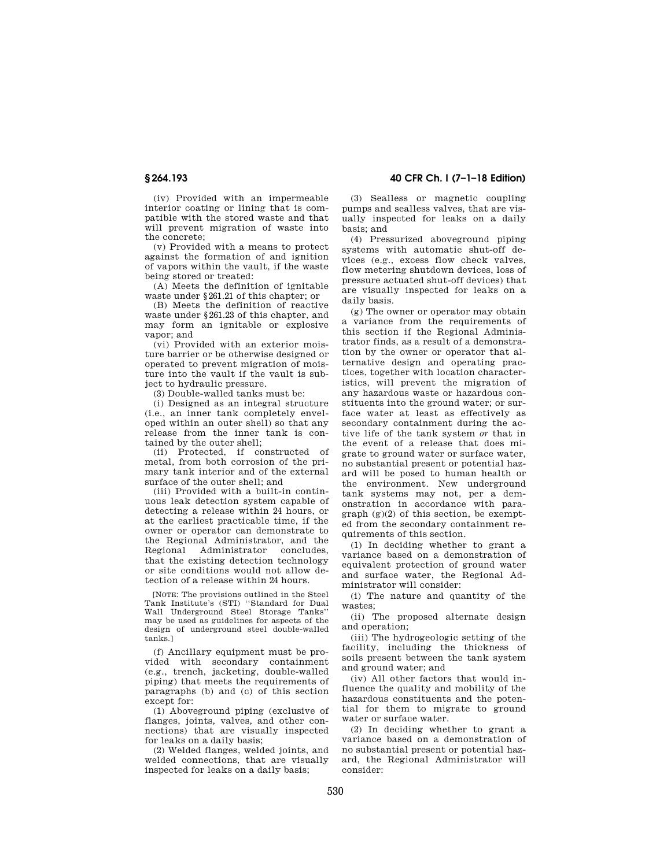(iv) Provided with an impermeable interior coating or lining that is compatible with the stored waste and that will prevent migration of waste into the concrete;

(v) Provided with a means to protect against the formation of and ignition of vapors within the vault, if the waste being stored or treated:

(A) Meets the definition of ignitable waste under §261.21 of this chapter; or

(B) Meets the definition of reactive waste under §261.23 of this chapter, and may form an ignitable or explosive vapor; and

(vi) Provided with an exterior moisture barrier or be otherwise designed or operated to prevent migration of moisture into the vault if the vault is subject to hydraulic pressure.

(3) Double-walled tanks must be:

(i) Designed as an integral structure (i.e., an inner tank completely enveloped within an outer shell) so that any release from the inner tank is contained by the outer shell;

(ii) Protected, if constructed of metal, from both corrosion of the primary tank interior and of the external surface of the outer shell; and

(iii) Provided with a built-in continuous leak detection system capable of detecting a release within 24 hours, or at the earliest practicable time, if the owner or operator can demonstrate to the Regional Administrator, and the Regional Administrator concludes, that the existing detection technology or site conditions would not allow detection of a release within 24 hours.

[NOTE: The provisions outlined in the Steel Tank Institute's (STI) ''Standard for Dual Wall Underground Steel Storage Tanks'' may be used as guidelines for aspects of the design of underground steel double-walled tanks.]

(f) Ancillary equipment must be provided with secondary containment (e.g., trench, jacketing, double-walled piping) that meets the requirements of paragraphs (b) and (c) of this section except for:

(1) Aboveground piping (exclusive of flanges, joints, valves, and other connections) that are visually inspected for leaks on a daily basis;

(2) Welded flanges, welded joints, and welded connections, that are visually inspected for leaks on a daily basis;

**§ 264.193 40 CFR Ch. I (7–1–18 Edition)** 

(3) Sealless or magnetic coupling pumps and sealless valves, that are visually inspected for leaks on a daily basis; and

(4) Pressurized aboveground piping systems with automatic shut-off devices (e.g., excess flow check valves, flow metering shutdown devices, loss of pressure actuated shut-off devices) that are visually inspected for leaks on a daily basis.

(g) The owner or operator may obtain a variance from the requirements of this section if the Regional Administrator finds, as a result of a demonstration by the owner or operator that alternative design and operating practices, together with location characteristics, will prevent the migration of any hazardous waste or hazardous constituents into the ground water; or surface water at least as effectively as secondary containment during the active life of the tank system *or* that in the event of a release that does migrate to ground water or surface water, no substantial present or potential hazard will be posed to human health or the environment. New underground tank systems may not, per a demonstration in accordance with para $graph (g)(2)$  of this section, be exempted from the secondary containment requirements of this section.

(1) In deciding whether to grant a variance based on a demonstration of equivalent protection of ground water and surface water, the Regional Administrator will consider:

(i) The nature and quantity of the wastes;

(ii) The proposed alternate design and operation;

(iii) The hydrogeologic setting of the facility, including the thickness of soils present between the tank system and ground water; and

(iv) All other factors that would influence the quality and mobility of the hazardous constituents and the potential for them to migrate to ground water or surface water.

(2) In deciding whether to grant a variance based on a demonstration of no substantial present or potential hazard, the Regional Administrator will consider: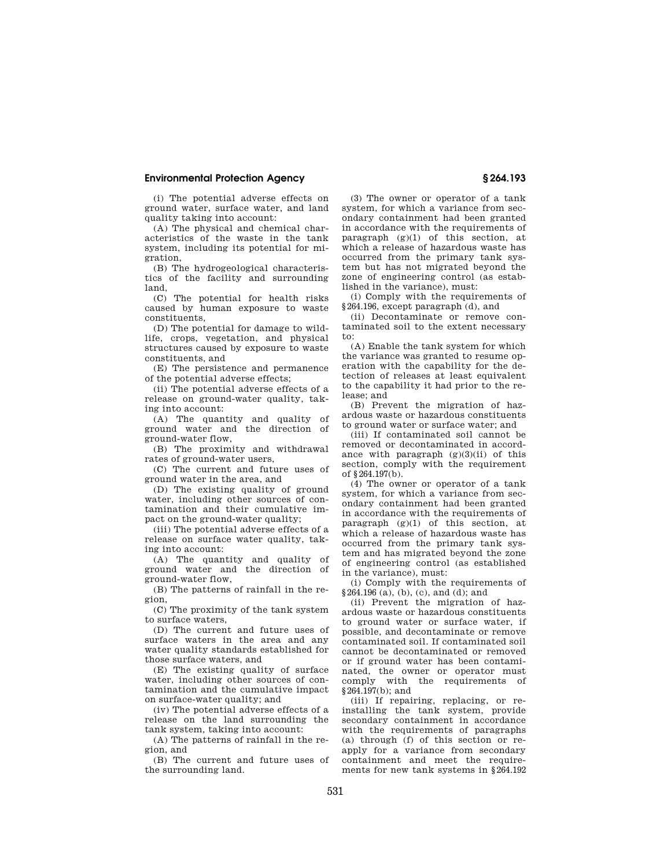## **Environmental Protection Agency § 264.193**

(i) The potential adverse effects on ground water, surface water, and land quality taking into account:

(A) The physical and chemical characteristics of the waste in the tank system, including its potential for migration,

(B) The hydrogeological characteristics of the facility and surrounding land,

(C) The potential for health risks caused by human exposure to waste constituents,

(D) The potential for damage to wildlife, crops, vegetation, and physical structures caused by exposure to waste constituents, and

(E) The persistence and permanence of the potential adverse effects;

(ii) The potential adverse effects of a release on ground-water quality, taking into account:

(A) The quantity and quality of ground water and the direction of ground-water flow,

(B) The proximity and withdrawal rates of ground-water users,

(C) The current and future uses of ground water in the area, and

(D) The existing quality of ground water, including other sources of contamination and their cumulative impact on the ground-water quality;

(iii) The potential adverse effects of a release on surface water quality, taking into account:

(A) The quantity and quality of ground water and the direction of ground-water flow,

(B) The patterns of rainfall in the region,

(C) The proximity of the tank system to surface waters,

(D) The current and future uses of surface waters in the area and any water quality standards established for those surface waters, and

(E) The existing quality of surface water, including other sources of contamination and the cumulative impact on surface-water quality; and

(iv) The potential adverse effects of a release on the land surrounding the tank system, taking into account:

(A) The patterns of rainfall in the region, and

(B) The current and future uses of the surrounding land.

(3) The owner or operator of a tank system, for which a variance from secondary containment had been granted in accordance with the requirements of paragraph  $(g)(1)$  of this section, at which a release of hazardous waste has occurred from the primary tank system but has not migrated beyond the zone of engineering control (as established in the variance), must:

(i) Comply with the requirements of §264.196, except paragraph (d), and

(ii) Decontaminate or remove contaminated soil to the extent necessary to:

(A) Enable the tank system for which the variance was granted to resume operation with the capability for the detection of releases at least equivalent to the capability it had prior to the release; and

(B) Prevent the migration of hazardous waste or hazardous constituents to ground water or surface water; and

(iii) If contaminated soil cannot be removed or decontaminated in accordance with paragraph  $(g)(3)(ii)$  of this section, comply with the requirement of  $8.264$  197(b).

(4) The owner or operator of a tank system, for which a variance from secondary containment had been granted in accordance with the requirements of paragraph  $(g)(1)$  of this section, at which a release of hazardous waste has occurred from the primary tank system and has migrated beyond the zone of engineering control (as established in the variance), must:

(i) Comply with the requirements of  $§264.196$  (a), (b), (c), and (d); and

(ii) Prevent the migration of hazardous waste or hazardous constituents to ground water or surface water, if possible, and decontaminate or remove contaminated soil. If contaminated soil cannot be decontaminated or removed or if ground water has been contaminated, the owner or operator must comply with the requirements of §264.197(b); and

(iii) If repairing, replacing, or reinstalling the tank system, provide secondary containment in accordance with the requirements of paragraphs (a) through (f) of this section or reapply for a variance from secondary containment and meet the requirements for new tank systems in §264.192